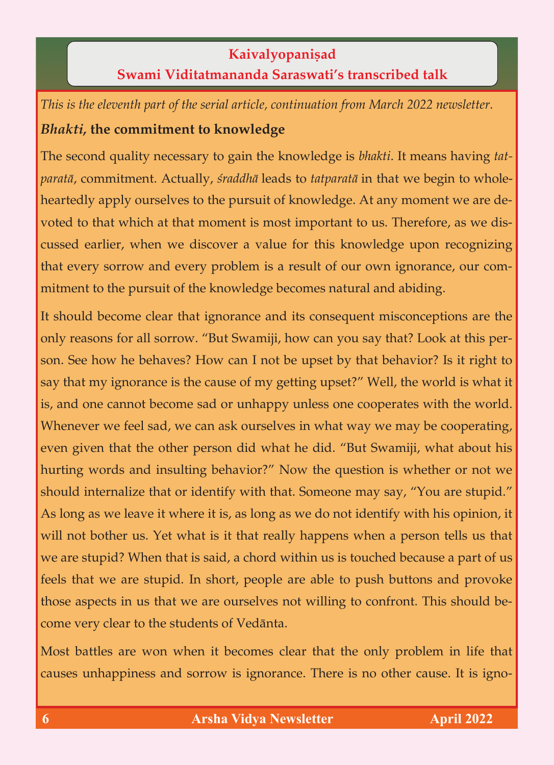**Kaivalyopaniṣad**<br>**Swami Viditatmananda Saraswati's transcribed talk Swami Viditatmananda Saraswati's transcribed talk**

*This is the eleventh part of the serial article, continuation from March 2022 newsletter. Bhakti,* **the commitment to knowledge**

The second quality necessary to gain the knowledge is *bhakti*. It means having *tatparatā,* commitment. Actually, *śraddhā* leads to *tatparatā* in that we begin to whole-<br>heartedly apply ourselves to the pursuit of knowledge. At any moment we are devoted to that which at that moment is most important to us. Therefore, as we discussed earlier, when we discover a value for this knowledge upon recognizing that every sorrow and every problem is a result of our own ignorance, our comthat every sorrow and every problem is a result of our own ignorance, our com- $\sigma$ mitment to the pursuit of the pursuit of the knowledge becomes natural and abiding. The comes natural and abiding. The comes natural and abiding  $\alpha$ 

It should become clear that ignorance and its consequent misconceptions are the only reasons for all sorrow. "But Swamiji, how can you say that? Look at this person. See how he behaves? How can I not be upset by that behavior? Is it right to say that my ignorance is the cause of my getting upset?" Well, the world is what it is, and one cannot become sad or unhappy unless one cooperates with the world. Whenever we feel sad, we can ask ourselves in what way we may be cooperating, even given that the other person did what he did. "But Swamiji, what about his hurting words and insulting behavior?" Now the question is whether or not we should internalize that or identify with that. Someone may say, "You are stupid." should internalize that or identify with that. Someone may say, "You are stupid."  $\alpha$  long as we leave it is, as long as we do not identify with his opinion, it is, as we do not in will not bother us. Yet what is it that really happens when a person tells us that we are stupid? When that is said, a chord within us is touched because a part of us we are studied by a chord within us is said. When the chord within us is touched because a part of us is to feels that we are stupid. In short, people are able to push buttons and provoke those aspects in us that we are ourselves not willing to confront. This should be-<br>come very clear to the students of Vedānta. come very clear to the students of Vedänta.

Most battles are won when it becomes clear that the only problem in life that the only problem in life that the only problem in life that the only problem in life that the only problem in life that the only problem in lif causes unhappiness and sorrow is ignorance. There is in the cause of  $\sigma$